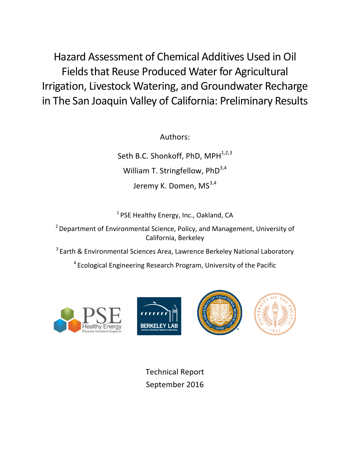Hazard Assessment of Chemical Additives Used in Oil Fields that Reuse Produced Water for Agricultural Irrigation, Livestock Watering, and Groundwater Recharge in The San Joaquin Valley of California: Preliminary Results

Authors:

Seth B.C. Shonkoff, PhD, MPH<sup>1,2,3</sup> William T. Stringfellow,  $PhD<sup>3,4</sup>$ Jeremy K. Domen, MS<sup>3,4</sup>

 $1$  PSE Healthy Energy, Inc., Oakland, CA

 $2$  Department of Environmental Science, Policy, and Management, University of California, Berkeley

 $3$  Earth & Environmental Sciences Area, Lawrence Berkeley National Laboratory

 $4$  Ecological Engineering Research Program, University of the Pacific





Technical Report September 2016

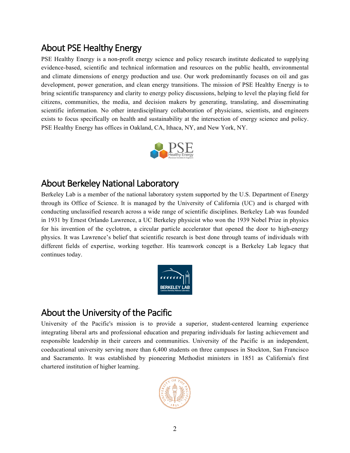# About PSE Healthy Energy

PSE Healthy Energy is a non-profit energy science and policy research institute dedicated to supplying evidence-based, scientific and technical information and resources on the public health, environmental and climate dimensions of energy production and use. Our work predominantly focuses on oil and gas development, power generation, and clean energy transitions. The mission of PSE Healthy Energy is to bring scientific transparency and clarity to energy policy discussions, helping to level the playing field for citizens, communities, the media, and decision makers by generating, translating, and disseminating scientific information. No other interdisciplinary collaboration of physicians, scientists, and engineers exists to focus specifically on health and sustainability at the intersection of energy science and policy. PSE Healthy Energy has offices in Oakland, CA, Ithaca, NY, and New York, NY.



## About Berkeley National Laboratory

Berkeley Lab is a member of the national laboratory system supported by the U.S. Department of Energy through its Office of Science. It is managed by the University of California (UC) and is charged with conducting unclassified research across a wide range of scientific disciplines. Berkeley Lab was founded in 1931 by Ernest Orlando Lawrence, a UC Berkeley physicist who won the 1939 Nobel Prize in physics for his invention of the cyclotron, a circular particle accelerator that opened the door to high-energy physics. It was Lawrence's belief that scientific research is best done through teams of individuals with different fields of expertise, working together. His teamwork concept is a Berkeley Lab legacy that continues today.



# About the University of the Pacific

University of the Pacific's mission is to provide a superior, student-centered learning experience integrating liberal arts and professional education and preparing individuals for lasting achievement and responsible leadership in their careers and communities. University of the Pacific is an independent, coeducational university serving more than 6,400 students on three campuses in Stockton, San Francisco and Sacramento. It was established by pioneering Methodist ministers in 1851 as California's first chartered institution of higher learning.

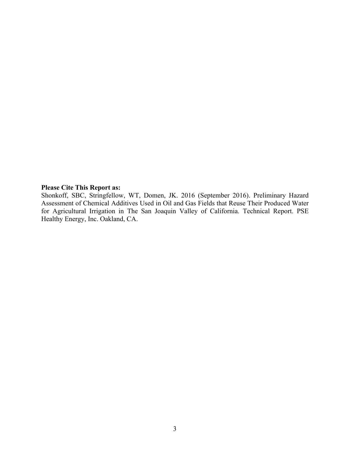#### **Please Cite This Report as:**

Shonkoff, SBC, Stringfellow, WT, Domen, JK. 2016 (September 2016). Preliminary Hazard Assessment of Chemical Additives Used in Oil and Gas Fields that Reuse Their Produced Water for Agricultural Irrigation in The San Joaquin Valley of California. Technical Report. PSE Healthy Energy, Inc. Oakland, CA.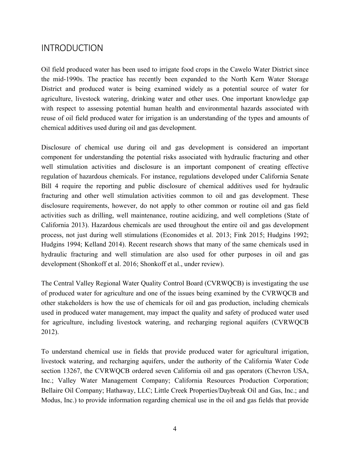### INTRODUCTION

Oil field produced water has been used to irrigate food crops in the Cawelo Water District since the mid-1990s. The practice has recently been expanded to the North Kern Water Storage District and produced water is being examined widely as a potential source of water for agriculture, livestock watering, drinking water and other uses. One important knowledge gap with respect to assessing potential human health and environmental hazards associated with reuse of oil field produced water for irrigation is an understanding of the types and amounts of chemical additives used during oil and gas development.

Disclosure of chemical use during oil and gas development is considered an important component for understanding the potential risks associated with hydraulic fracturing and other well stimulation activities and disclosure is an important component of creating effective regulation of hazardous chemicals. For instance, regulations developed under California Senate Bill 4 require the reporting and public disclosure of chemical additives used for hydraulic fracturing and other well stimulation activities common to oil and gas development. These disclosure requirements, however, do not apply to other common or routine oil and gas field activities such as drilling, well maintenance, routine acidizing, and well completions (State of California 2013). Hazardous chemicals are used throughout the entire oil and gas development process, not just during well stimulations (Economides et al. 2013; Fink 2015; Hudgins 1992; Hudgins 1994; Kelland 2014). Recent research shows that many of the same chemicals used in hydraulic fracturing and well stimulation are also used for other purposes in oil and gas development (Shonkoff et al. 2016; Shonkoff et al., under review).

The Central Valley Regional Water Quality Control Board (CVRWQCB) is investigating the use of produced water for agriculture and one of the issues being examined by the CVRWQCB and other stakeholders is how the use of chemicals for oil and gas production, including chemicals used in produced water management, may impact the quality and safety of produced water used for agriculture, including livestock watering, and recharging regional aquifers (CVRWQCB 2012).

To understand chemical use in fields that provide produced water for agricultural irrigation, livestock watering, and recharging aquifers, under the authority of the California Water Code section 13267, the CVRWQCB ordered seven California oil and gas operators (Chevron USA, Inc.; Valley Water Management Company; California Resources Production Corporation; Bellaire Oil Company; Hathaway, LLC; Little Creek Properties/Daybreak Oil and Gas, Inc.; and Modus, Inc.) to provide information regarding chemical use in the oil and gas fields that provide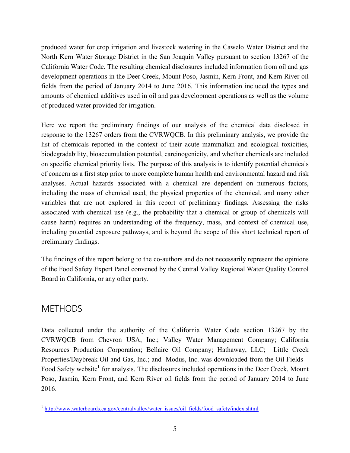produced water for crop irrigation and livestock watering in the Cawelo Water District and the North Kern Water Storage District in the San Joaquin Valley pursuant to section 13267 of the California Water Code. The resulting chemical disclosures included information from oil and gas development operations in the Deer Creek, Mount Poso, Jasmin, Kern Front, and Kern River oil fields from the period of January 2014 to June 2016. This information included the types and amounts of chemical additives used in oil and gas development operations as well as the volume of produced water provided for irrigation.

Here we report the preliminary findings of our analysis of the chemical data disclosed in response to the 13267 orders from the CVRWQCB. In this preliminary analysis, we provide the list of chemicals reported in the context of their acute mammalian and ecological toxicities, biodegradability, bioaccumulation potential, carcinogenicity, and whether chemicals are included on specific chemical priority lists. The purpose of this analysis is to identify potential chemicals of concern as a first step prior to more complete human health and environmental hazard and risk analyses. Actual hazards associated with a chemical are dependent on numerous factors, including the mass of chemical used, the physical properties of the chemical, and many other variables that are not explored in this report of preliminary findings. Assessing the risks associated with chemical use (e.g., the probability that a chemical or group of chemicals will cause harm) requires an understanding of the frequency, mass, and context of chemical use, including potential exposure pathways, and is beyond the scope of this short technical report of preliminary findings.

The findings of this report belong to the co-authors and do not necessarily represent the opinions of the Food Safety Expert Panel convened by the Central Valley Regional Water Quality Control Board in California, or any other party.

### METHODS

Data collected under the authority of the California Water Code section 13267 by the CVRWQCB from Chevron USA, Inc.; Valley Water Management Company; California Resources Production Corporation; Bellaire Oil Company; Hathaway, LLC; Little Creek Properties/Daybreak Oil and Gas, Inc.; and Modus, Inc. was downloaded from the Oil Fields – Food Safety website<sup>1</sup> for analysis. The disclosures included operations in the Deer Creek, Mount Poso, Jasmin, Kern Front, and Kern River oil fields from the period of January 2014 to June 2016.

<sup>&</sup>lt;sup>1</sup> http://www.waterboards.ca.gov/centralvalley/water\_issues/oil\_fields/food\_safety/index.shtml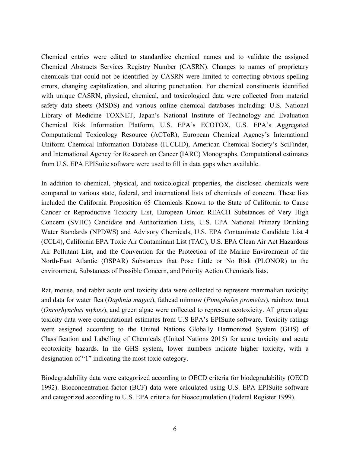Chemical entries were edited to standardize chemical names and to validate the assigned Chemical Abstracts Services Registry Number (CASRN). Changes to names of proprietary chemicals that could not be identified by CASRN were limited to correcting obvious spelling errors, changing capitalization, and altering punctuation. For chemical constituents identified with unique CASRN, physical, chemical, and toxicological data were collected from material safety data sheets (MSDS) and various online chemical databases including: U.S. National Library of Medicine TOXNET, Japan's National Institute of Technology and Evaluation Chemical Risk Information Platform, U.S. EPA's ECOTOX, U.S. EPA's Aggregated Computational Toxicology Resource (ACToR), European Chemical Agency's International Uniform Chemical Information Database (IUCLID), American Chemical Society's SciFinder, and International Agency for Research on Cancer (IARC) Monographs. Computational estimates from U.S. EPA EPISuite software were used to fill in data gaps when available.

In addition to chemical, physical, and toxicological properties, the disclosed chemicals were compared to various state, federal, and international lists of chemicals of concern. These lists included the California Proposition 65 Chemicals Known to the State of California to Cause Cancer or Reproductive Toxicity List, European Union REACH Substances of Very High Concern (SVHC) Candidate and Authorization Lists, U.S. EPA National Primary Drinking Water Standards (NPDWS) and Advisory Chemicals, U.S. EPA Contaminate Candidate List 4 (CCL4), California EPA Toxic Air Contaminant List (TAC), U.S. EPA Clean Air Act Hazardous Air Pollutant List, and the Convention for the Protection of the Marine Environment of the North-East Atlantic (OSPAR) Substances that Pose Little or No Risk (PLONOR) to the environment, Substances of Possible Concern, and Priority Action Chemicals lists.

Rat, mouse, and rabbit acute oral toxicity data were collected to represent mammalian toxicity; and data for water flea (*Daphnia magna*), fathead minnow (*Pimephales promelas*), rainbow trout (*Oncorhynchus mykiss*), and green algae were collected to represent ecotoxicity. All green algae toxicity data were computational estimates from U.S EPA's EPISuite software. Toxicity ratings were assigned according to the United Nations Globally Harmonized System (GHS) of Classification and Labelling of Chemicals (United Nations 2015) for acute toxicity and acute ecotoxicity hazards. In the GHS system, lower numbers indicate higher toxicity, with a designation of "1" indicating the most toxic category.

Biodegradability data were categorized according to OECD criteria for biodegradability (OECD 1992). Bioconcentration-factor (BCF) data were calculated using U.S. EPA EPISuite software and categorized according to U.S. EPA criteria for bioaccumulation (Federal Register 1999).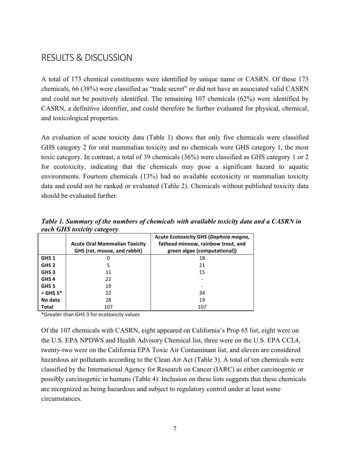### RESULTS & DISCUSSION

A total of 173 chemical constituents were identified by unique name or CASRN. Of these 173 chemicals, 66 (38%) were classified as "trade secret" or did not have an associated valid CASRN and could not be positively identified. The remaining 107 chemicals (62%) were identified by CASRN, a definitive identifier, and could therefore be further evaluated for physical, chemical, and toxicological properties.

An evaluation of acute toxicity data (Table 1) shows that only five chemicals were classified GHS category 2 for oral mammalian toxicity and no chemicals were GHS category 1, the most toxic category. In contrast, a total of 39 chemicals (36%) were classified as GHS category 1 or 2 for ecotoxicity, indicating that the chemicals may pose a significant hazard to aquatic environments. Fourteen chemicals (13%) had no available ecotoxicity or mammalian toxicity data and could not be ranked or evaluated (Table 2). Chemicals without published toxicity data should be evaluated further.

|                  | . - 200 <del>.</del>                                                 |                                                                                                                    |
|------------------|----------------------------------------------------------------------|--------------------------------------------------------------------------------------------------------------------|
|                  | <b>Acute Oral Mammalian Toxicity</b><br>GHS (rat, mouse, and rabbit) | <b>Acute Ecotoxicity GHS (Daphnia magna,</b><br>fathead minnow, rainbow trout, and<br>green algae [computational]) |
| GHS <sub>1</sub> |                                                                      | 18                                                                                                                 |
| GHS <sub>2</sub> | 5                                                                    | 21                                                                                                                 |
| GHS <sub>3</sub> | 11                                                                   | 15                                                                                                                 |
| GHS <sub>4</sub> | 22                                                                   |                                                                                                                    |
| GHS <sub>5</sub> | 19                                                                   |                                                                                                                    |
| $>$ GHS 5 $*$    | 22                                                                   | 34                                                                                                                 |
| No data          | 28                                                                   | 19                                                                                                                 |
| Total            | 107                                                                  | 107                                                                                                                |

*Table 1. Summary of the numbers of chemicals with available toxicity data and a CASRN in each GHS toxicity category*

\*Greater than GHS 3 for ecotoxicity values

Of the 107 chemicals with CASRN, eight appeared on California's Prop 65 list, eight were on the U.S. EPA NPDWS and Health Advisory Chemical list, three were on the U.S. EPA CCL4, twenty-two were on the California EPA Toxic Air Contaminant list, and eleven are considered hazardous air pollutants according to the Clean Air Act (Table 3). A total of ten chemicals were classified by the International Agency for Research on Cancer (IARC) as either carcinogenic or possibly carcinogenic in humans (Table 4). Inclusion on these lists suggests that these chemicals are recognized as being hazardous and subject to regulatory control under at least some circumstances.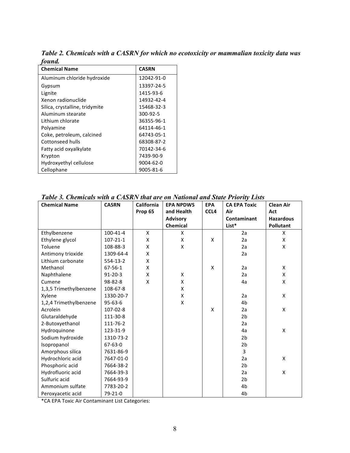| vunu.                          |              |
|--------------------------------|--------------|
| <b>Chemical Name</b>           | <b>CASRN</b> |
| Aluminum chloride hydroxide    | 12042-91-0   |
| Gypsum                         | 13397-24-5   |
| Lignite                        | 1415-93-6    |
| Xenon radionuclide             | 14932-42-4   |
| Silica, crystalline, tridymite | 15468-32-3   |
| Aluminum stearate              | 300-92-5     |
| Lithium chlorate               | 36355-96-1   |
| Polyamine                      | 64114-46-1   |
| Coke, petroleum, calcined      | 64743-05-1   |
| Cottonseed hulls               | 68308-87-2   |
| Fatty acid oxyalkylate         | 70142-34-6   |
| Krypton                        | 7439-90-9    |
| Hydroxyethyl cellulose         | 9004-62-0    |
| Cellophane                     | 9005-81-6    |

*Table 2. Chemicals with a CASRN for which no ecotoxicity or mammalian toxicity data was found.*

| <b>Chemical Name</b>   | <b>CASRN</b>   | <b>California</b> | <b>EPA NPDWS</b> | <b>EPA</b>       | <b>CA EPA Toxic</b> | <b>Clean Air</b> |
|------------------------|----------------|-------------------|------------------|------------------|---------------------|------------------|
|                        |                | Prop 65           | and Health       | CCL <sub>4</sub> | Air                 | Act              |
|                        |                |                   | <b>Advisory</b>  |                  | Contaminant         | <b>Hazardous</b> |
|                        |                |                   | Chemical         |                  | List*               | <b>Pollutant</b> |
| Ethylbenzene           | $100 - 41 - 4$ | X                 | X                |                  | 2a                  | X                |
| Ethylene glycol        | $107 - 21 - 1$ | X                 | X                | X                | 2a                  | X                |
| Toluene                | 108-88-3       | X                 | X                |                  | 2a                  | X                |
| Antimony trioxide      | 1309-64-4      | X                 |                  |                  | 2a                  |                  |
| Lithium carbonate      | 554-13-2       | X                 |                  |                  |                     |                  |
| Methanol               | $67 - 56 - 1$  | X                 |                  | X                | 2a                  | X                |
| Naphthalene            | $91 - 20 - 3$  | X                 | X                |                  | 2a                  | X                |
| Cumene                 | $98 - 82 - 8$  | X                 | Χ                |                  | 4a                  | X                |
| 1,3,5 Trimethylbenzene | 108-67-8       |                   | X                |                  |                     |                  |
| Xylene                 | 1330-20-7      |                   | X                |                  | 2a                  | X                |
| 1,2,4 Trimethylbenzene | $95 - 63 - 6$  |                   | X                |                  | 4b                  |                  |
| Acrolein               | 107-02-8       |                   |                  | X                | 2a                  | X                |
| Glutaraldehyde         | 111-30-8       |                   |                  |                  | 2 <sub>b</sub>      |                  |
| 2-Butoxyethanol        | 111-76-2       |                   |                  |                  | 2a                  |                  |
| Hydroquinone           | 123-31-9       |                   |                  |                  | 4a                  | X                |
| Sodium hydroxide       | 1310-73-2      |                   |                  |                  | 2 <sub>b</sub>      |                  |
| Isopropanol            | $67 - 63 - 0$  |                   |                  |                  | 2 <sub>b</sub>      |                  |
| Amorphous silica       | 7631-86-9      |                   |                  |                  | 3                   |                  |
| Hydrochloric acid      | 7647-01-0      |                   |                  |                  | 2a                  | X                |
| Phosphoric acid        | 7664-38-2      |                   |                  |                  | 2 <sub>b</sub>      |                  |
| Hydrofluoric acid      | 7664-39-3      |                   |                  |                  | 2a                  | X                |
| Sulfuric acid          | 7664-93-9      |                   |                  |                  | 2 <sub>b</sub>      |                  |
| Ammonium sulfate       | 7783-20-2      |                   |                  |                  | 4b                  |                  |
| Peroxyacetic acid      | 79-21-0        |                   |                  |                  | 4 <sub>b</sub>      |                  |

\*CA EPA Toxic Air Contaminant List Categories: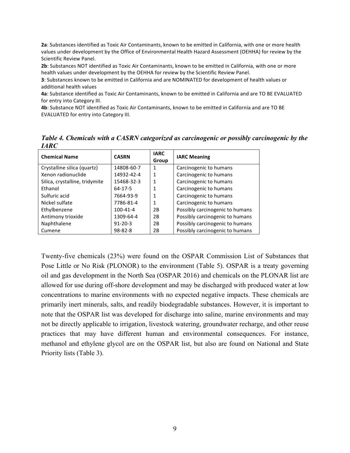**2a**: Substances identified as Toxic Air Contaminants, known to be emitted in California, with one or more health values under development by the Office of Environmental Health Hazard Assessment (OEHHA) for review by the Scientific Review Panel.

**2b**: Substances NOT identified as Toxic Air Contaminants, known to be emitted in California, with one or more health values under development by the OEHHA for review by the Scientific Review Panel.

**3**: Substances known to be emitted in California and are NOMINATED for development of health values or additional health values

**4a**: Substance identified as Toxic Air Contaminants, known to be emitted in California and are TO BE EVALUATED for entry into Category III.

4b: Substance NOT identified as Toxic Air Contaminants, known to be emitted in California and are TO BE EVALUATED for entry into Category III.

*Table 4. Chemicals with a CASRN categorized as carcinogenic or possibly carcinogenic by the IARC*

| <b>Chemical Name</b>           | <b>CASRN</b>  | <b>IARC</b><br>Group | <b>IARC Meaning</b>             |
|--------------------------------|---------------|----------------------|---------------------------------|
| Crystalline silica (quartz)    | 14808-60-7    | 1                    | Carcinogenic to humans          |
| Xenon radionuclide             | 14932-42-4    | 1                    | Carcinogenic to humans          |
| Silica, crystalline, tridymite | 15468-32-3    | 1                    | Carcinogenic to humans          |
| Ethanol                        | 64-17-5       |                      | Carcinogenic to humans          |
| Sulfuric acid                  | 7664-93-9     | 1                    | Carcinogenic to humans          |
| Nickel sulfate                 | 7786-81-4     | 1                    | Carcinogenic to humans          |
| Ethylbenzene                   | 100-41-4      | 2B                   | Possibly carcinogenic to humans |
| Antimony trioxide              | 1309-64-4     | 2Β                   | Possibly carcinogenic to humans |
| Naphthalene                    | $91 - 20 - 3$ | 2B                   | Possibly carcinogenic to humans |
| Cumene                         | 98-82-8       | 2Β                   | Possibly carcinogenic to humans |

Twenty-five chemicals (23%) were found on the OSPAR Commission List of Substances that Pose Little or No Risk (PLONOR) to the environment (Table 5). OSPAR is a treaty governing oil and gas development in the North Sea (OSPAR 2016) and chemicals on the PLONAR list are allowed for use during off-shore development and may be discharged with produced water at low concentrations to marine environments with no expected negative impacts. These chemicals are primarily inert minerals, salts, and readily biodegradable substances. However, it is important to note that the OSPAR list was developed for discharge into saline, marine environments and may not be directly applicable to irrigation, livestock watering, groundwater recharge, and other reuse practices that may have different human and environmental consequences. For instance, methanol and ethylene glycol are on the OSPAR list, but also are found on National and State Priority lists (Table 3).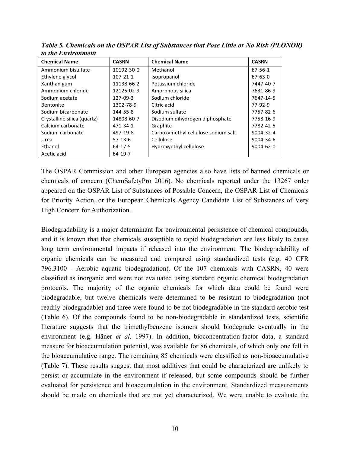| <b>Chemical Name</b>        | <b>CASRN</b>   | <b>Chemical Name</b>                | <b>CASRN</b>    |
|-----------------------------|----------------|-------------------------------------|-----------------|
| Ammonium bisulfate          | 10192-30-0     | Methanol                            | 67-56-1         |
| Ethylene glycol             | $107 - 21 - 1$ | Isopropanol                         | 67-63-0         |
| Xanthan gum                 | 11138-66-2     | Potassium chloride                  | 7447-40-7       |
| Ammonium chloride           | 12125-02-9     | Amorphous silica                    | 7631-86-9       |
| Sodium acetate              | 127-09-3       | Sodium chloride                     | 7647-14-5       |
| <b>Bentonite</b>            | 1302-78-9      | Citric acid                         | 77-92-9         |
| Sodium bicarbonate          | 144-55-8       | Sodium sulfate                      | 7757-82-6       |
| Crystalline silica (quartz) | 14808-60-7     | Disodium dihydrogen diphosphate     | 7758-16-9       |
| Calcium carbonate           | 471-34-1       | Graphite                            | 7782-42-5       |
| Sodium carbonate            | 497-19-8       | Carboxymethyl cellulose sodium salt | 9004-32-4       |
| Urea                        | $57-13-6$      | Cellulose                           | 9004-34-6       |
| Ethanol                     | $64-17-5$      | Hydroxyethyl cellulose              | $9004 - 62 - 0$ |
| Acetic acid                 | 64-19-7        |                                     |                 |

*Table 5. Chemicals on the OSPAR List of Substances that Pose Little or No Risk (PLONOR) to the Environment*

The OSPAR Commission and other European agencies also have lists of banned chemicals or chemicals of concern (ChemSafetyPro 2016). No chemicals reported under the 13267 order appeared on the OSPAR List of Substances of Possible Concern, the OSPAR List of Chemicals for Priority Action, or the European Chemicals Agency Candidate List of Substances of Very High Concern for Authorization.

Biodegradability is a major determinant for environmental persistence of chemical compounds, and it is known that that chemicals susceptible to rapid biodegradation are less likely to cause long term environmental impacts if released into the environment. The biodegradability of organic chemicals can be measured and compared using standardized tests (e.g. 40 CFR 796.3100 - Aerobic aquatic biodegradation). Of the 107 chemicals with CASRN, 40 were classified as inorganic and were not evaluated using standard organic chemical biodegradation protocols. The majority of the organic chemicals for which data could be found were biodegradable, but twelve chemicals were determined to be resistant to biodegradation (not readily biodegradable) and three were found to be not biodegradable in the standard aerobic test (Table 6). Of the compounds found to be non-biodegradable in standardized tests, scientific literature suggests that the trimethylbenzene isomers should biodegrade eventually in the environment (e.g. Häner *et al*. 1997). In addition, bioconcentration-factor data, a standard measure for bioaccumulation potential, was available for 86 chemicals, of which only one fell in the bioaccumulative range. The remaining 85 chemicals were classified as non-bioaccumulative (Table 7). These results suggest that most additives that could be characterized are unlikely to persist or accumulate in the environment if released, but some compounds should be further evaluated for persistence and bioaccumulation in the environment. Standardized measurements should be made on chemicals that are not yet characterized. We were unable to evaluate the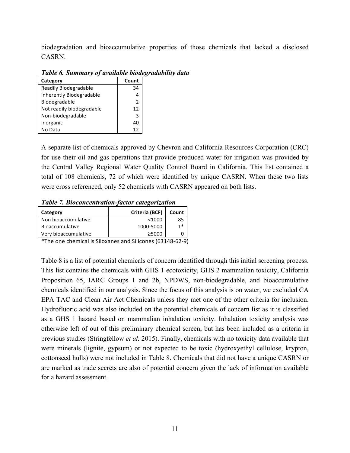biodegradation and bioaccumulative properties of those chemicals that lacked a disclosed CASRN.

| Category                  | Count |  |
|---------------------------|-------|--|
| Readily Biodegradable     | 34    |  |
| Inherently Biodegradable  |       |  |
| Biodegradable             | 2     |  |
| Not readily biodegradable | 12    |  |
| Non-biodegradable         | З     |  |
| Inorganic                 | 40    |  |
| No Data                   | 12    |  |

*Table 6. Summary of available biodegradability data*

A separate list of chemicals approved by Chevron and California Resources Corporation (CRC) for use their oil and gas operations that provide produced water for irrigation was provided by the Central Valley Regional Water Quality Control Board in California. This list contained a total of 108 chemicals, 72 of which were identified by unique CASRN. When these two lists were cross referenced, only 52 chemicals with CASRN appeared on both lists.

*Table 7. Bioconcentration-factor categorization*

| Category               | Criteria (BCF) | Count |
|------------------------|----------------|-------|
| Non bioaccumulative    | $<$ 1000       | 85    |
| <b>Bioaccumulative</b> | 1000-5000      | $1*$  |
| Very bioaccumulative   | >5000          |       |

\*The one chemical is Siloxanes and Silicones (63148-62-9)

Table 8 is a list of potential chemicals of concern identified through this initial screening process. This list contains the chemicals with GHS 1 ecotoxicity, GHS 2 mammalian toxicity, California Proposition 65, IARC Groups 1 and 2b, NPDWS, non-biodegradable, and bioaccumulative chemicals identified in our analysis. Since the focus of this analysis is on water, we excluded CA EPA TAC and Clean Air Act Chemicals unless they met one of the other criteria for inclusion. Hydrofluoric acid was also included on the potential chemicals of concern list as it is classified as a GHS 1 hazard based on mammalian inhalation toxicity. Inhalation toxicity analysis was otherwise left of out of this preliminary chemical screen, but has been included as a criteria in previous studies (Stringfellow *et al.* 2015). Finally, chemicals with no toxicity data available that were minerals (lignite, gypsum) or not expected to be toxic (hydroxyethyl cellulose, krypton, cottonseed hulls) were not included in Table 8. Chemicals that did not have a unique CASRN or are marked as trade secrets are also of potential concern given the lack of information available for a hazard assessment.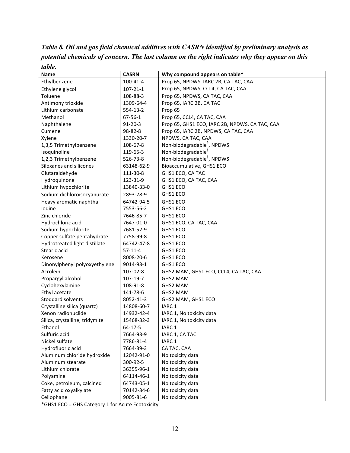| table.                         |                |                                                |
|--------------------------------|----------------|------------------------------------------------|
| <b>Name</b>                    | <b>CASRN</b>   | Why compound appears on table*                 |
| Ethylbenzene                   | 100-41-4       | Prop 65, NPDWS, IARC 2B, CA TAC, CAA           |
| Ethylene glycol                | $107 - 21 - 1$ | Prop 65, NPDWS, CCL4, CA TAC, CAA              |
| Toluene                        | 108-88-3       | Prop 65, NPDWS, CA TAC, CAA                    |
| Antimony trioxide              | 1309-64-4      | Prop 65, IARC 2B, CA TAC                       |
| Lithium carbonate              | 554-13-2       | Prop 65                                        |
| Methanol                       | 67-56-1        | Prop 65, CCL4, CA TAC, CAA                     |
| Naphthalene                    | $91 - 20 - 3$  | Prop 65, GHS1 ECO, IARC 2B, NPDWS, CA TAC, CAA |
| Cumene                         | 98-82-8        | Prop 65, IARC 2B, NPDWS, CA TAC, CAA           |
| Xylene                         | 1330-20-7      | NPDWS, CA TAC, CAA                             |
| 1,3,5 Trimethylbenzene         | 108-67-8       | Non-biodegradable <sup>9</sup> , NPDWS         |
| Isoquinoline                   | 119-65-3       | Non-biodegradable <sup>§</sup>                 |
| 1,2,3 Trimethylbenzene         | 526-73-8       | Non-biodegradable <sup>9</sup> , NPDWS         |
| Siloxanes and silicones        | 63148-62-9     | Bioaccumulative, GHS1 ECO                      |
| Glutaraldehyde                 | 111-30-8       | GHS1 ECO, CA TAC                               |
| Hydroquinone                   | 123-31-9       | GHS1 ECO, CA TAC, CAA                          |
| Lithium hypochlorite           | 13840-33-0     | GHS1 ECO                                       |
| Sodium dichloroisocyanurate    | 2893-78-9      | GHS1 ECO                                       |
| Heavy aromatic naphtha         | 64742-94-5     | GHS1 ECO                                       |
| Iodine                         | 7553-56-2      | GHS1 ECO                                       |
| Zinc chloride                  | 7646-85-7      | GHS1 ECO                                       |
| Hydrochloric acid              | 7647-01-0      | GHS1 ECO, CA TAC, CAA                          |
| Sodium hypochlorite            | 7681-52-9      | GHS1 ECO                                       |
| Copper sulfate pentahydrate    | 7758-99-8      | GHS1 ECO                                       |
| Hydrotreated light distillate  | 64742-47-8     | GHS1 ECO                                       |
| Stearic acid                   | $57-11-4$      | GHS1 ECO                                       |
| Kerosene                       | 8008-20-6      | GHS1 ECO                                       |
| Dinonylphenyl polyoxyethylene  | 9014-93-1      | GHS1 ECO                                       |
| Acrolein                       | 107-02-8       | GHS2 MAM, GHS1 ECO, CCL4, CA TAC, CAA          |
| Propargyl alcohol              | 107-19-7       | GHS2 MAM                                       |
| Cyclohexylamine                | 108-91-8       | <b>GHS2 MAM</b>                                |
| Ethyl acetate                  | 141-78-6       | <b>GHS2 MAM</b>                                |
| <b>Stoddard solvents</b>       | 8052-41-3      | GHS2 MAM, GHS1 ECO                             |
| Crystalline silica (quartz)    | 14808-60-7     | IARC <sub>1</sub>                              |
| Xenon radionuclide             | 14932-42-4     | IARC 1, No toxicity data                       |
| Silica, crystalline, tridymite | 15468-32-3     | IARC 1, No toxicity data                       |
| Ethanol                        | $64 - 17 - 5$  | IARC <sub>1</sub>                              |
| Sulfuric acid                  | 7664-93-9      | IARC 1, CA TAC                                 |
| Nickel sulfate                 | 7786-81-4      | IARC <sub>1</sub>                              |
| Hydrofluoric acid              | 7664-39-3      | CA TAC, CAA                                    |
| Aluminum chloride hydroxide    | 12042-91-0     | No toxicity data                               |
| Aluminum stearate              | 300-92-5       | No toxicity data                               |
| Lithium chlorate               | 36355-96-1     | No toxicity data                               |
| Polyamine                      | 64114-46-1     | No toxicity data                               |
| Coke, petroleum, calcined      | 64743-05-1     | No toxicity data                               |
| Fatty acid oxyalkylate         | 70142-34-6     | No toxicity data                               |
| Cellophane                     | 9005-81-6      | No toxicity data                               |

*Table 8. Oil and gas field chemical additives with CASRN identified by preliminary analysis as potential chemicals of concern. The last column on the right indicates why they appear on this table.*

\*GHS1 ECO = GHS Category 1 for Acute Ecotoxicity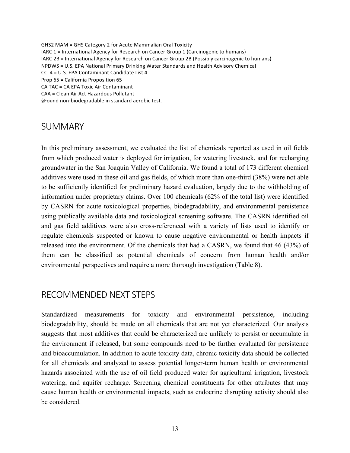GHS2 MAM = GHS Category 2 for Acute Mammalian Oral Toxicity IARC  $1$  = International Agency for Research on Cancer Group 1 (Carcinogenic to humans) IARC 2B = International Agency for Research on Cancer Group 2B (Possibly carcinogenic to humans) NPDWS = U.S. EPA National Primary Drinking Water Standards and Health Advisory Chemical CCL4 = U.S. EPA Contaminant Candidate List 4 Prop 65 = California Proposition 65 CA TAC = CA EPA Toxic Air Contaminant CAA = Clean Air Act Hazardous Pollutant §Found non-biodegradable in standard aerobic test.

#### **SUMMARY**

In this preliminary assessment, we evaluated the list of chemicals reported as used in oil fields from which produced water is deployed for irrigation, for watering livestock, and for recharging groundwater in the San Joaquin Valley of California. We found a total of 173 different chemical additives were used in these oil and gas fields, of which more than one-third (38%) were not able to be sufficiently identified for preliminary hazard evaluation, largely due to the withholding of information under proprietary claims. Over 100 chemicals (62% of the total list) were identified by CASRN for acute toxicological properties, biodegradability, and environmental persistence using publically available data and toxicological screening software. The CASRN identified oil and gas field additives were also cross-referenced with a variety of lists used to identify or regulate chemicals suspected or known to cause negative environmental or health impacts if released into the environment. Of the chemicals that had a CASRN, we found that 46 (43%) of them can be classified as potential chemicals of concern from human health and/or environmental perspectives and require a more thorough investigation (Table 8).

### RECOMMENDED NEXT STEPS

Standardized measurements for toxicity and environmental persistence, including biodegradability, should be made on all chemicals that are not yet characterized. Our analysis suggests that most additives that could be characterized are unlikely to persist or accumulate in the environment if released, but some compounds need to be further evaluated for persistence and bioaccumulation. In addition to acute toxicity data, chronic toxicity data should be collected for all chemicals and analyzed to assess potential longer-term human health or environmental hazards associated with the use of oil field produced water for agricultural irrigation, livestock watering, and aquifer recharge. Screening chemical constituents for other attributes that may cause human health or environmental impacts, such as endocrine disrupting activity should also be considered.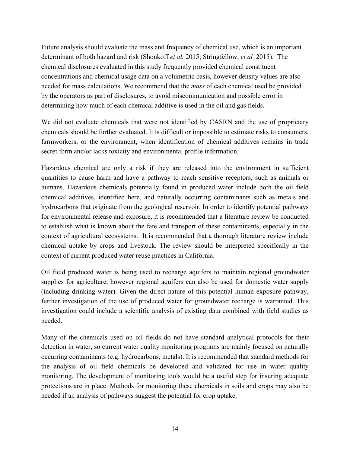Future analysis should evaluate the mass and frequency of chemical use, which is an important determinant of both hazard and risk (Shonkoff *et al.* 2015; Stringfellow, *et al.* 2015). The chemical disclosures evaluated in this study frequently provided chemical constituent concentrations and chemical usage data on a volumetric basis, however density values are also needed for mass calculations. We recommend that the *mass* of each chemical used be provided by the operators as part of disclosures, to avoid miscommunication and possible error in determining how much of each chemical additive is used in the oil and gas fields.

We did not evaluate chemicals that were not identified by CASRN and the use of proprietary chemicals should be further evaluated. It is difficult or impossible to estimate risks to consumers, farmworkers, or the environment, when identification of chemical additives remains in trade secret form and/or lacks toxicity and environmental profile information.

Hazardous chemical are only a risk if they are released into the environment in sufficient quantities to cause harm and have a pathway to reach sensitive receptors, such as animals or humans. Hazardous chemicals potentially found in produced water include both the oil field chemical additives, identified here, and naturally occurring contaminants such as metals and hydrocarbons that originate from the geological reservoir. In order to identify potential pathways for environmental release and exposure, it is recommended that a literature review be conducted to establish what is known about the fate and transport of these contaminants, especially in the context of agricultural ecosystems. It is recommended that a thorough literature review include chemical uptake by crops and livestock. The review should be interpreted specifically in the context of current produced water reuse practices in California.

Oil field produced water is being used to recharge aquifers to maintain regional groundwater supplies for agriculture, however regional aquifers can also be used for domestic water supply (including drinking water). Given the direct nature of this potential human exposure pathway, further investigation of the use of produced water for groundwater recharge is warranted. This investigation could include a scientific analysis of existing data combined with field studies as needed.

Many of the chemicals used on oil fields do not have standard analytical protocols for their detection in water, so current water quality monitoring programs are mainly focused on naturally occurring contaminants (e.g. hydrocarbons, metals). It is recommended that standard methods for the analysis of oil field chemicals be developed and validated for use in water quality monitoring. The development of monitoring tools would be a useful step for insuring adequate protections are in place. Methods for monitoring these chemicals in soils and crops may also be needed if an analysis of pathways suggest the potential for crop uptake.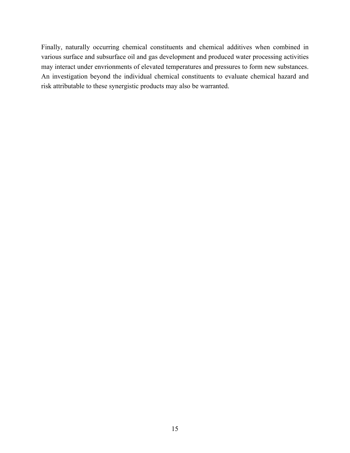Finally, naturally occurring chemical constituents and chemical additives when combined in various surface and subsurface oil and gas development and produced water processing activities may interact under envrionments of elevated temperatures and pressures to form new substances. An investigation beyond the individual chemical constituents to evaluate chemical hazard and risk attributable to these synergistic products may also be warranted.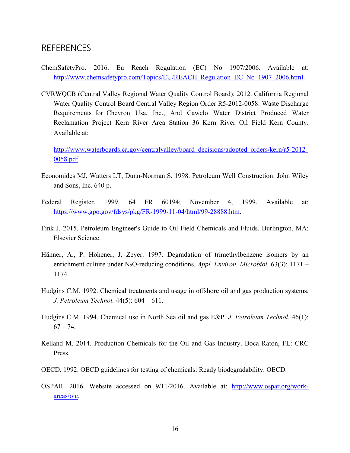#### **REFERENCES**

- ChemSafetyPro. 2016. Eu Reach Regulation (EC) No 1907/2006. Available at: http://www.chemsafetypro.com/Topics/EU/REACH\_Regulation\_EC\_No\_1907\_2006.html.
- CVRWQCB (Central Valley Regional Water Quality Control Board). 2012. California Regional Water Quality Control Board Central Valley Region Order R5-2012-0058: Waste Discharge Requirements for Chevron Usa, Inc., And Cawelo Water District Produced Water Reclamation Project Kern River Area Station 36 Kern River Oil Field Kern County. Available at:

http://www.waterboards.ca.gov/centralvalley/board\_decisions/adopted\_orders/kern/r5-2012-0058.pdf.

- Economides MJ, Watters LT, Dunn-Norman S. 1998. Petroleum Well Construction: John Wiley and Sons, Inc. 640 p.
- Federal Register. 1999. 64 FR 60194; November 4, 1999. Available at: https://www.gpo.gov/fdsys/pkg/FR-1999-11-04/html/99-28888.htm.
- Fink J. 2015. Petroleum Engineer's Guide to Oil Field Chemicals and Fluids. Burlington, MA: Elsevier Science.
- Hänner, A., P. Hohener, J. Zeyer. 1997. Degradation of trimethylbenzene isomers by an enrichment culture under N<sub>2</sub>O-reducing conditions. *Appl. Environ. Microbiol.* 63(3): 1171 – 1174.
- Hudgins C.M. 1992. Chemical treatments and usage in offshore oil and gas production systems. *J. Petroleum Technol.* 44(5): 604 – 611.
- Hudgins C.M. 1994. Chemical use in North Sea oil and gas E&P. *J. Petroleum Technol.* 46(1):  $67 - 74.$
- Kelland M. 2014. Production Chemicals for the Oil and Gas Industry. Boca Raton, FL: CRC Press.
- OECD. 1992. OECD guidelines for testing of chemicals: Ready biodegradability. OECD.
- OSPAR. 2016. Website accessed on 9/11/2016. Available at: http://www.ospar.org/workareas/oic.